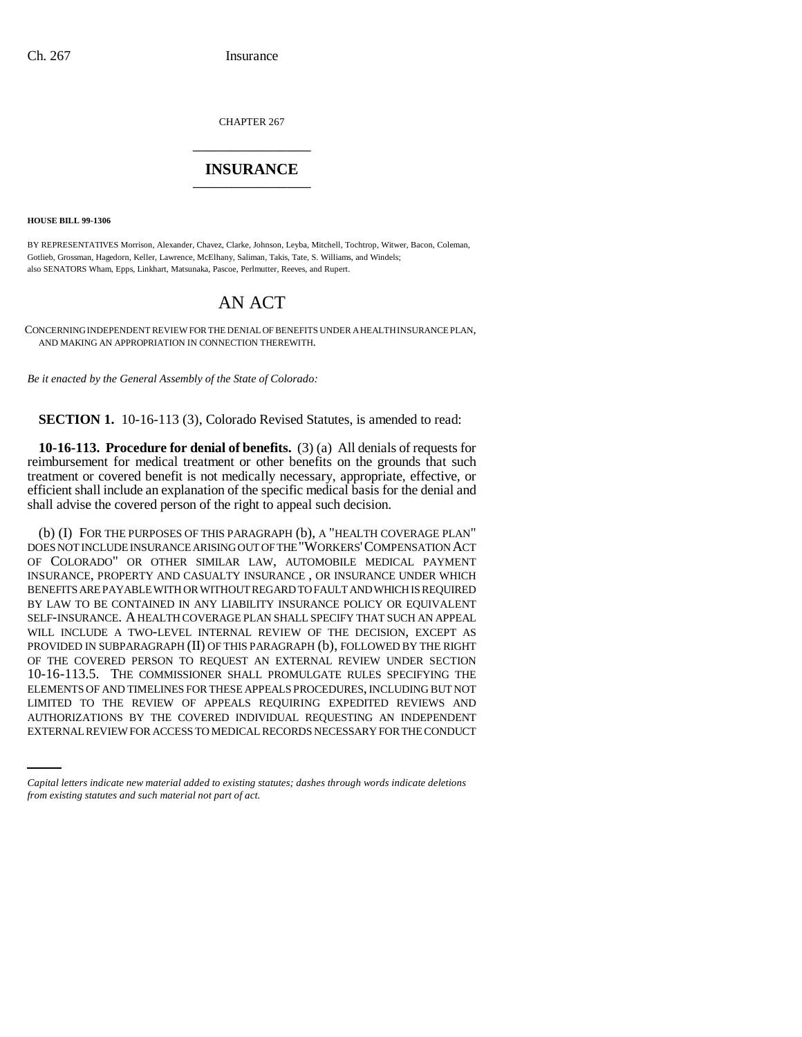CHAPTER 267 \_\_\_\_\_\_\_\_\_\_\_\_\_\_\_

## **INSURANCE** \_\_\_\_\_\_\_\_\_\_\_\_\_\_\_

**HOUSE BILL 99-1306** 

BY REPRESENTATIVES Morrison, Alexander, Chavez, Clarke, Johnson, Leyba, Mitchell, Tochtrop, Witwer, Bacon, Coleman, Gotlieb, Grossman, Hagedorn, Keller, Lawrence, McElhany, Saliman, Takis, Tate, S. Williams, and Windels; also SENATORS Wham, Epps, Linkhart, Matsunaka, Pascoe, Perlmutter, Reeves, and Rupert.

# AN ACT

CONCERNING INDEPENDENT REVIEW FOR THE DENIAL OF BENEFITS UNDER A HEALTH INSURANCE PLAN, AND MAKING AN APPROPRIATION IN CONNECTION THEREWITH.

*Be it enacted by the General Assembly of the State of Colorado:*

**SECTION 1.** 10-16-113 (3), Colorado Revised Statutes, is amended to read:

**10-16-113. Procedure for denial of benefits.** (3) (a) All denials of requests for reimbursement for medical treatment or other benefits on the grounds that such treatment or covered benefit is not medically necessary, appropriate, effective, or efficient shall include an explanation of the specific medical basis for the denial and shall advise the covered person of the right to appeal such decision.

LIMITED TO THE REVIEW OF APPEALS REQUIRING EXPEDITED REVIEWS AND (b) (I) FOR THE PURPOSES OF THIS PARAGRAPH (b), A "HEALTH COVERAGE PLAN" DOES NOT INCLUDE INSURANCE ARISING OUT OF THE "WORKERS'COMPENSATION ACT OF COLORADO" OR OTHER SIMILAR LAW, AUTOMOBILE MEDICAL PAYMENT INSURANCE, PROPERTY AND CASUALTY INSURANCE , OR INSURANCE UNDER WHICH BENEFITS ARE PAYABLE WITH OR WITHOUT REGARD TO FAULT AND WHICH IS REQUIRED BY LAW TO BE CONTAINED IN ANY LIABILITY INSURANCE POLICY OR EQUIVALENT SELF-INSURANCE. A HEALTH COVERAGE PLAN SHALL SPECIFY THAT SUCH AN APPEAL WILL INCLUDE A TWO-LEVEL INTERNAL REVIEW OF THE DECISION, EXCEPT AS PROVIDED IN SUBPARAGRAPH (II) OF THIS PARAGRAPH (b), FOLLOWED BY THE RIGHT OF THE COVERED PERSON TO REQUEST AN EXTERNAL REVIEW UNDER SECTION 10-16-113.5. THE COMMISSIONER SHALL PROMULGATE RULES SPECIFYING THE ELEMENTS OF AND TIMELINES FOR THESE APPEALS PROCEDURES, INCLUDING BUT NOT AUTHORIZATIONS BY THE COVERED INDIVIDUAL REQUESTING AN INDEPENDENT EXTERNAL REVIEW FOR ACCESS TO MEDICAL RECORDS NECESSARY FOR THE CONDUCT

*Capital letters indicate new material added to existing statutes; dashes through words indicate deletions from existing statutes and such material not part of act.*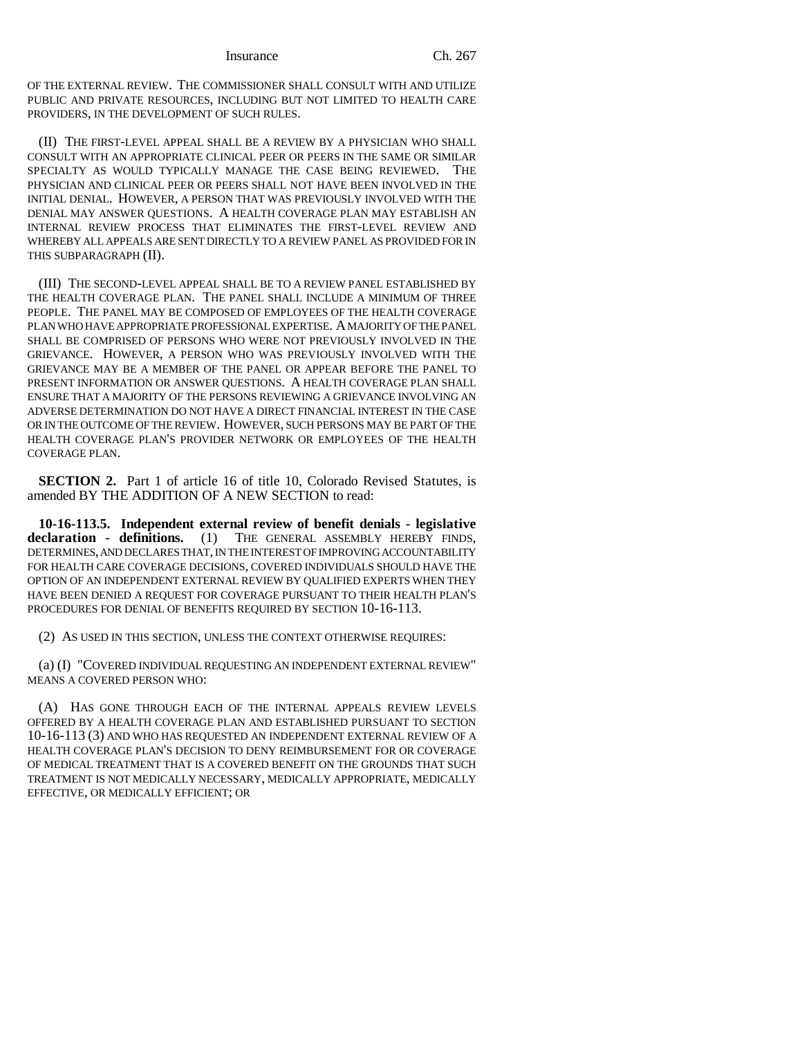OF THE EXTERNAL REVIEW. THE COMMISSIONER SHALL CONSULT WITH AND UTILIZE PUBLIC AND PRIVATE RESOURCES, INCLUDING BUT NOT LIMITED TO HEALTH CARE PROVIDERS, IN THE DEVELOPMENT OF SUCH RULES.

(II) THE FIRST-LEVEL APPEAL SHALL BE A REVIEW BY A PHYSICIAN WHO SHALL CONSULT WITH AN APPROPRIATE CLINICAL PEER OR PEERS IN THE SAME OR SIMILAR SPECIALTY AS WOULD TYPICALLY MANAGE THE CASE BEING REVIEWED. THE PHYSICIAN AND CLINICAL PEER OR PEERS SHALL NOT HAVE BEEN INVOLVED IN THE INITIAL DENIAL. HOWEVER, A PERSON THAT WAS PREVIOUSLY INVOLVED WITH THE DENIAL MAY ANSWER QUESTIONS. A HEALTH COVERAGE PLAN MAY ESTABLISH AN INTERNAL REVIEW PROCESS THAT ELIMINATES THE FIRST-LEVEL REVIEW AND WHEREBY ALL APPEALS ARE SENT DIRECTLY TO A REVIEW PANEL AS PROVIDED FOR IN THIS SUBPARAGRAPH (II).

(III) THE SECOND-LEVEL APPEAL SHALL BE TO A REVIEW PANEL ESTABLISHED BY THE HEALTH COVERAGE PLAN. THE PANEL SHALL INCLUDE A MINIMUM OF THREE PEOPLE. THE PANEL MAY BE COMPOSED OF EMPLOYEES OF THE HEALTH COVERAGE PLAN WHO HAVE APPROPRIATE PROFESSIONAL EXPERTISE. A MAJORITY OF THE PANEL SHALL BE COMPRISED OF PERSONS WHO WERE NOT PREVIOUSLY INVOLVED IN THE GRIEVANCE. HOWEVER, A PERSON WHO WAS PREVIOUSLY INVOLVED WITH THE GRIEVANCE MAY BE A MEMBER OF THE PANEL OR APPEAR BEFORE THE PANEL TO PRESENT INFORMATION OR ANSWER QUESTIONS. A HEALTH COVERAGE PLAN SHALL ENSURE THAT A MAJORITY OF THE PERSONS REVIEWING A GRIEVANCE INVOLVING AN ADVERSE DETERMINATION DO NOT HAVE A DIRECT FINANCIAL INTEREST IN THE CASE OR IN THE OUTCOME OF THE REVIEW. HOWEVER, SUCH PERSONS MAY BE PART OF THE HEALTH COVERAGE PLAN'S PROVIDER NETWORK OR EMPLOYEES OF THE HEALTH COVERAGE PLAN.

**SECTION 2.** Part 1 of article 16 of title 10, Colorado Revised Statutes, is amended BY THE ADDITION OF A NEW SECTION to read:

**10-16-113.5. Independent external review of benefit denials - legislative declaration - definitions.** (1) THE GENERAL ASSEMBLY HEREBY FINDS, DETERMINES, AND DECLARES THAT, IN THE INTEREST OF IMPROVING ACCOUNTABILITY FOR HEALTH CARE COVERAGE DECISIONS, COVERED INDIVIDUALS SHOULD HAVE THE OPTION OF AN INDEPENDENT EXTERNAL REVIEW BY QUALIFIED EXPERTS WHEN THEY HAVE BEEN DENIED A REQUEST FOR COVERAGE PURSUANT TO THEIR HEALTH PLAN'S PROCEDURES FOR DENIAL OF BENEFITS REQUIRED BY SECTION 10-16-113.

(2) AS USED IN THIS SECTION, UNLESS THE CONTEXT OTHERWISE REQUIRES:

(a) (I) "COVERED INDIVIDUAL REQUESTING AN INDEPENDENT EXTERNAL REVIEW" MEANS A COVERED PERSON WHO:

(A) HAS GONE THROUGH EACH OF THE INTERNAL APPEALS REVIEW LEVELS OFFERED BY A HEALTH COVERAGE PLAN AND ESTABLISHED PURSUANT TO SECTION 10-16-113 (3) AND WHO HAS REQUESTED AN INDEPENDENT EXTERNAL REVIEW OF A HEALTH COVERAGE PLAN'S DECISION TO DENY REIMBURSEMENT FOR OR COVERAGE OF MEDICAL TREATMENT THAT IS A COVERED BENEFIT ON THE GROUNDS THAT SUCH TREATMENT IS NOT MEDICALLY NECESSARY, MEDICALLY APPROPRIATE, MEDICALLY EFFECTIVE, OR MEDICALLY EFFICIENT; OR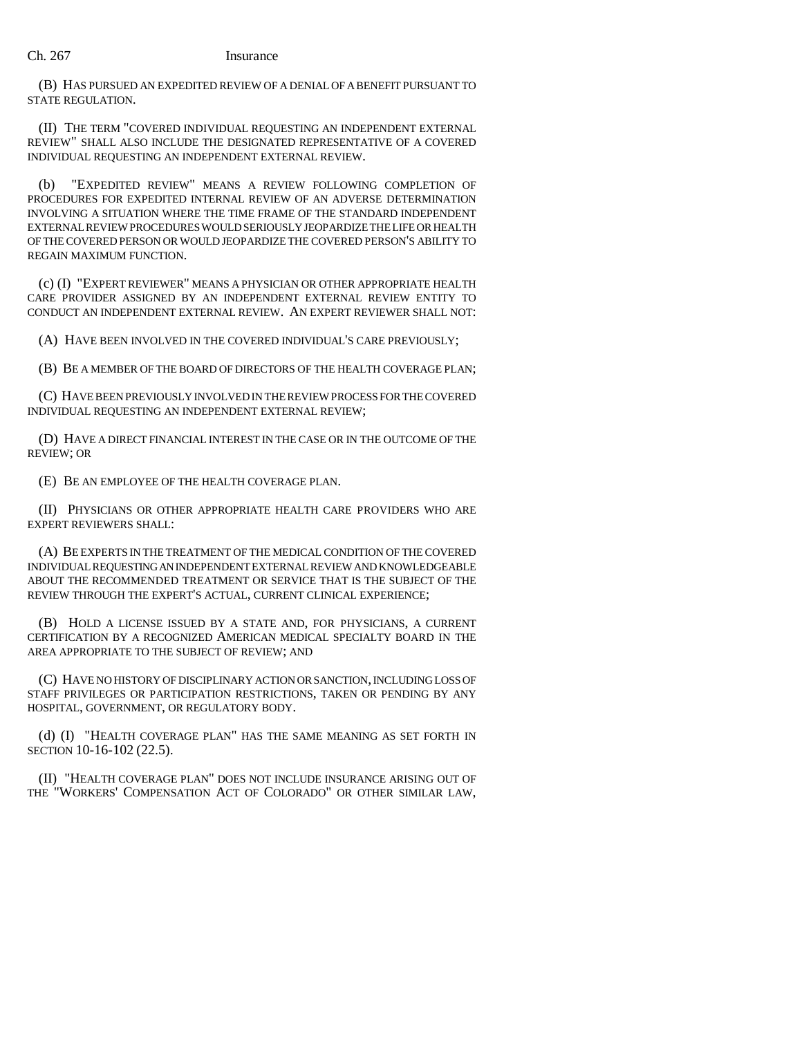### Ch. 267 Insurance

(B) HAS PURSUED AN EXPEDITED REVIEW OF A DENIAL OF A BENEFIT PURSUANT TO STATE REGULATION.

(II) THE TERM "COVERED INDIVIDUAL REQUESTING AN INDEPENDENT EXTERNAL REVIEW" SHALL ALSO INCLUDE THE DESIGNATED REPRESENTATIVE OF A COVERED INDIVIDUAL REQUESTING AN INDEPENDENT EXTERNAL REVIEW.

(b) "EXPEDITED REVIEW" MEANS A REVIEW FOLLOWING COMPLETION OF PROCEDURES FOR EXPEDITED INTERNAL REVIEW OF AN ADVERSE DETERMINATION INVOLVING A SITUATION WHERE THE TIME FRAME OF THE STANDARD INDEPENDENT EXTERNAL REVIEW PROCEDURES WOULD SERIOUSLY JEOPARDIZE THE LIFE OR HEALTH OF THE COVERED PERSON OR WOULD JEOPARDIZE THE COVERED PERSON'S ABILITY TO REGAIN MAXIMUM FUNCTION.

(c) (I) "EXPERT REVIEWER" MEANS A PHYSICIAN OR OTHER APPROPRIATE HEALTH CARE PROVIDER ASSIGNED BY AN INDEPENDENT EXTERNAL REVIEW ENTITY TO CONDUCT AN INDEPENDENT EXTERNAL REVIEW. AN EXPERT REVIEWER SHALL NOT:

(A) HAVE BEEN INVOLVED IN THE COVERED INDIVIDUAL'S CARE PREVIOUSLY;

(B) BE A MEMBER OF THE BOARD OF DIRECTORS OF THE HEALTH COVERAGE PLAN;

(C) HAVE BEEN PREVIOUSLY INVOLVED IN THE REVIEW PROCESS FOR THE COVERED INDIVIDUAL REQUESTING AN INDEPENDENT EXTERNAL REVIEW;

(D) HAVE A DIRECT FINANCIAL INTEREST IN THE CASE OR IN THE OUTCOME OF THE REVIEW; OR

(E) BE AN EMPLOYEE OF THE HEALTH COVERAGE PLAN.

(II) PHYSICIANS OR OTHER APPROPRIATE HEALTH CARE PROVIDERS WHO ARE EXPERT REVIEWERS SHALL:

(A) BE EXPERTS IN THE TREATMENT OF THE MEDICAL CONDITION OF THE COVERED INDIVIDUAL REQUESTING AN INDEPENDENT EXTERNAL REVIEW AND KNOWLEDGEABLE ABOUT THE RECOMMENDED TREATMENT OR SERVICE THAT IS THE SUBJECT OF THE REVIEW THROUGH THE EXPERT'S ACTUAL, CURRENT CLINICAL EXPERIENCE;

(B) HOLD A LICENSE ISSUED BY A STATE AND, FOR PHYSICIANS, A CURRENT CERTIFICATION BY A RECOGNIZED AMERICAN MEDICAL SPECIALTY BOARD IN THE AREA APPROPRIATE TO THE SUBJECT OF REVIEW; AND

(C) HAVE NO HISTORY OF DISCIPLINARY ACTION OR SANCTION, INCLUDING LOSS OF STAFF PRIVILEGES OR PARTICIPATION RESTRICTIONS, TAKEN OR PENDING BY ANY HOSPITAL, GOVERNMENT, OR REGULATORY BODY.

(d) (I) "HEALTH COVERAGE PLAN" HAS THE SAME MEANING AS SET FORTH IN SECTION 10-16-102 (22.5).

(II) "HEALTH COVERAGE PLAN" DOES NOT INCLUDE INSURANCE ARISING OUT OF THE "WORKERS' COMPENSATION ACT OF COLORADO" OR OTHER SIMILAR LAW,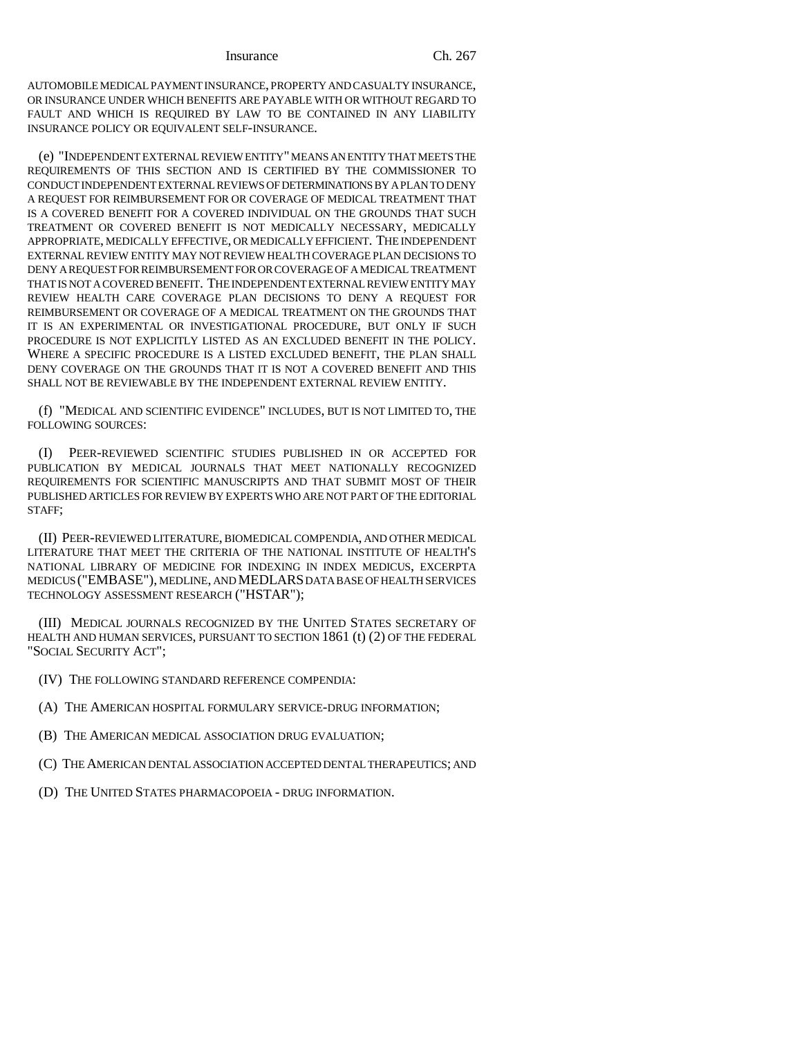Insurance Ch. 267

AUTOMOBILE MEDICAL PAYMENT INSURANCE, PROPERTY AND CASUALTY INSURANCE, OR INSURANCE UNDER WHICH BENEFITS ARE PAYABLE WITH OR WITHOUT REGARD TO FAULT AND WHICH IS REQUIRED BY LAW TO BE CONTAINED IN ANY LIABILITY INSURANCE POLICY OR EQUIVALENT SELF-INSURANCE.

(e) "INDEPENDENT EXTERNAL REVIEW ENTITY" MEANS AN ENTITY THAT MEETS THE REQUIREMENTS OF THIS SECTION AND IS CERTIFIED BY THE COMMISSIONER TO CONDUCT INDEPENDENT EXTERNAL REVIEWS OF DETERMINATIONS BY A PLAN TO DENY A REQUEST FOR REIMBURSEMENT FOR OR COVERAGE OF MEDICAL TREATMENT THAT IS A COVERED BENEFIT FOR A COVERED INDIVIDUAL ON THE GROUNDS THAT SUCH TREATMENT OR COVERED BENEFIT IS NOT MEDICALLY NECESSARY, MEDICALLY APPROPRIATE, MEDICALLY EFFECTIVE, OR MEDICALLY EFFICIENT. THE INDEPENDENT EXTERNAL REVIEW ENTITY MAY NOT REVIEW HEALTH COVERAGE PLAN DECISIONS TO DENY A REQUEST FOR REIMBURSEMENT FOR OR COVERAGE OF A MEDICAL TREATMENT THAT IS NOT A COVERED BENEFIT. THE INDEPENDENT EXTERNAL REVIEW ENTITY MAY REVIEW HEALTH CARE COVERAGE PLAN DECISIONS TO DENY A REQUEST FOR REIMBURSEMENT OR COVERAGE OF A MEDICAL TREATMENT ON THE GROUNDS THAT IT IS AN EXPERIMENTAL OR INVESTIGATIONAL PROCEDURE, BUT ONLY IF SUCH PROCEDURE IS NOT EXPLICITLY LISTED AS AN EXCLUDED BENEFIT IN THE POLICY. WHERE A SPECIFIC PROCEDURE IS A LISTED EXCLUDED BENEFIT, THE PLAN SHALL DENY COVERAGE ON THE GROUNDS THAT IT IS NOT A COVERED BENEFIT AND THIS SHALL NOT BE REVIEWABLE BY THE INDEPENDENT EXTERNAL REVIEW ENTITY.

(f) "MEDICAL AND SCIENTIFIC EVIDENCE" INCLUDES, BUT IS NOT LIMITED TO, THE FOLLOWING SOURCES:

(I) PEER-REVIEWED SCIENTIFIC STUDIES PUBLISHED IN OR ACCEPTED FOR PUBLICATION BY MEDICAL JOURNALS THAT MEET NATIONALLY RECOGNIZED REQUIREMENTS FOR SCIENTIFIC MANUSCRIPTS AND THAT SUBMIT MOST OF THEIR PUBLISHED ARTICLES FOR REVIEW BY EXPERTS WHO ARE NOT PART OF THE EDITORIAL STAFF;

(II) PEER-REVIEWED LITERATURE, BIOMEDICAL COMPENDIA, AND OTHER MEDICAL LITERATURE THAT MEET THE CRITERIA OF THE NATIONAL INSTITUTE OF HEALTH'S NATIONAL LIBRARY OF MEDICINE FOR INDEXING IN INDEX MEDICUS, EXCERPTA MEDICUS ("EMBASE"), MEDLINE, AND MEDLARS DATA BASE OF HEALTH SERVICES TECHNOLOGY ASSESSMENT RESEARCH ("HSTAR");

(III) MEDICAL JOURNALS RECOGNIZED BY THE UNITED STATES SECRETARY OF HEALTH AND HUMAN SERVICES, PURSUANT TO SECTION 1861 (t) (2) OF THE FEDERAL "SOCIAL SECURITY ACT";

- (IV) THE FOLLOWING STANDARD REFERENCE COMPENDIA:
- (A) THE AMERICAN HOSPITAL FORMULARY SERVICE-DRUG INFORMATION;
- (B) THE AMERICAN MEDICAL ASSOCIATION DRUG EVALUATION;
- (C) THE AMERICAN DENTAL ASSOCIATION ACCEPTED DENTAL THERAPEUTICS; AND
- (D) THE UNITED STATES PHARMACOPOEIA DRUG INFORMATION.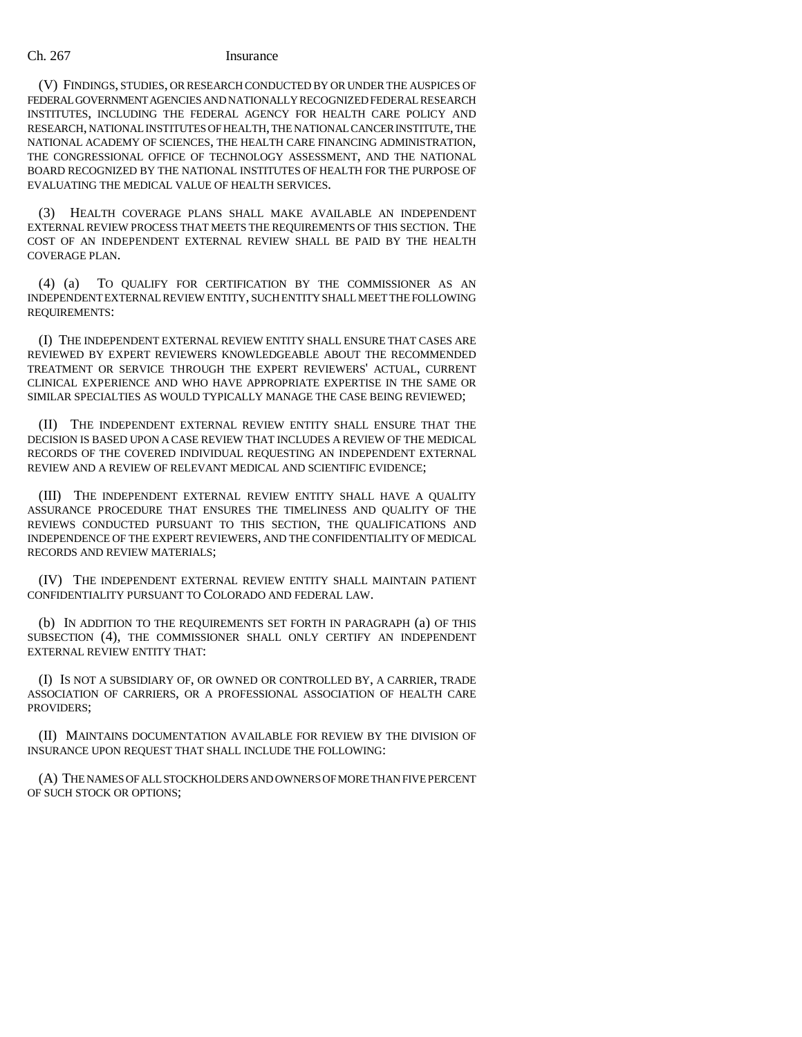### Ch. 267 Insurance

(V) FINDINGS, STUDIES, OR RESEARCH CONDUCTED BY OR UNDER THE AUSPICES OF FEDERAL GOVERNMENT AGENCIES AND NATIONALLY RECOGNIZED FEDERAL RESEARCH INSTITUTES, INCLUDING THE FEDERAL AGENCY FOR HEALTH CARE POLICY AND RESEARCH, NATIONAL INSTITUTES OF HEALTH, THE NATIONAL CANCER INSTITUTE, THE NATIONAL ACADEMY OF SCIENCES, THE HEALTH CARE FINANCING ADMINISTRATION, THE CONGRESSIONAL OFFICE OF TECHNOLOGY ASSESSMENT, AND THE NATIONAL BOARD RECOGNIZED BY THE NATIONAL INSTITUTES OF HEALTH FOR THE PURPOSE OF EVALUATING THE MEDICAL VALUE OF HEALTH SERVICES.

(3) HEALTH COVERAGE PLANS SHALL MAKE AVAILABLE AN INDEPENDENT EXTERNAL REVIEW PROCESS THAT MEETS THE REQUIREMENTS OF THIS SECTION. THE COST OF AN INDEPENDENT EXTERNAL REVIEW SHALL BE PAID BY THE HEALTH COVERAGE PLAN.

(4) (a) TO QUALIFY FOR CERTIFICATION BY THE COMMISSIONER AS AN INDEPENDENT EXTERNAL REVIEW ENTITY, SUCH ENTITY SHALL MEET THE FOLLOWING REQUIREMENTS:

(I) THE INDEPENDENT EXTERNAL REVIEW ENTITY SHALL ENSURE THAT CASES ARE REVIEWED BY EXPERT REVIEWERS KNOWLEDGEABLE ABOUT THE RECOMMENDED TREATMENT OR SERVICE THROUGH THE EXPERT REVIEWERS' ACTUAL, CURRENT CLINICAL EXPERIENCE AND WHO HAVE APPROPRIATE EXPERTISE IN THE SAME OR SIMILAR SPECIALTIES AS WOULD TYPICALLY MANAGE THE CASE BEING REVIEWED;

(II) THE INDEPENDENT EXTERNAL REVIEW ENTITY SHALL ENSURE THAT THE DECISION IS BASED UPON A CASE REVIEW THAT INCLUDES A REVIEW OF THE MEDICAL RECORDS OF THE COVERED INDIVIDUAL REQUESTING AN INDEPENDENT EXTERNAL REVIEW AND A REVIEW OF RELEVANT MEDICAL AND SCIENTIFIC EVIDENCE;

(III) THE INDEPENDENT EXTERNAL REVIEW ENTITY SHALL HAVE A QUALITY ASSURANCE PROCEDURE THAT ENSURES THE TIMELINESS AND QUALITY OF THE REVIEWS CONDUCTED PURSUANT TO THIS SECTION, THE QUALIFICATIONS AND INDEPENDENCE OF THE EXPERT REVIEWERS, AND THE CONFIDENTIALITY OF MEDICAL RECORDS AND REVIEW MATERIALS;

(IV) THE INDEPENDENT EXTERNAL REVIEW ENTITY SHALL MAINTAIN PATIENT CONFIDENTIALITY PURSUANT TO COLORADO AND FEDERAL LAW.

(b) IN ADDITION TO THE REQUIREMENTS SET FORTH IN PARAGRAPH (a) OF THIS SUBSECTION (4), THE COMMISSIONER SHALL ONLY CERTIFY AN INDEPENDENT EXTERNAL REVIEW ENTITY THAT:

(I) IS NOT A SUBSIDIARY OF, OR OWNED OR CONTROLLED BY, A CARRIER, TRADE ASSOCIATION OF CARRIERS, OR A PROFESSIONAL ASSOCIATION OF HEALTH CARE PROVIDERS;

(II) MAINTAINS DOCUMENTATION AVAILABLE FOR REVIEW BY THE DIVISION OF INSURANCE UPON REQUEST THAT SHALL INCLUDE THE FOLLOWING:

(A) THE NAMES OF ALL STOCKHOLDERS AND OWNERS OF MORE THAN FIVE PERCENT OF SUCH STOCK OR OPTIONS;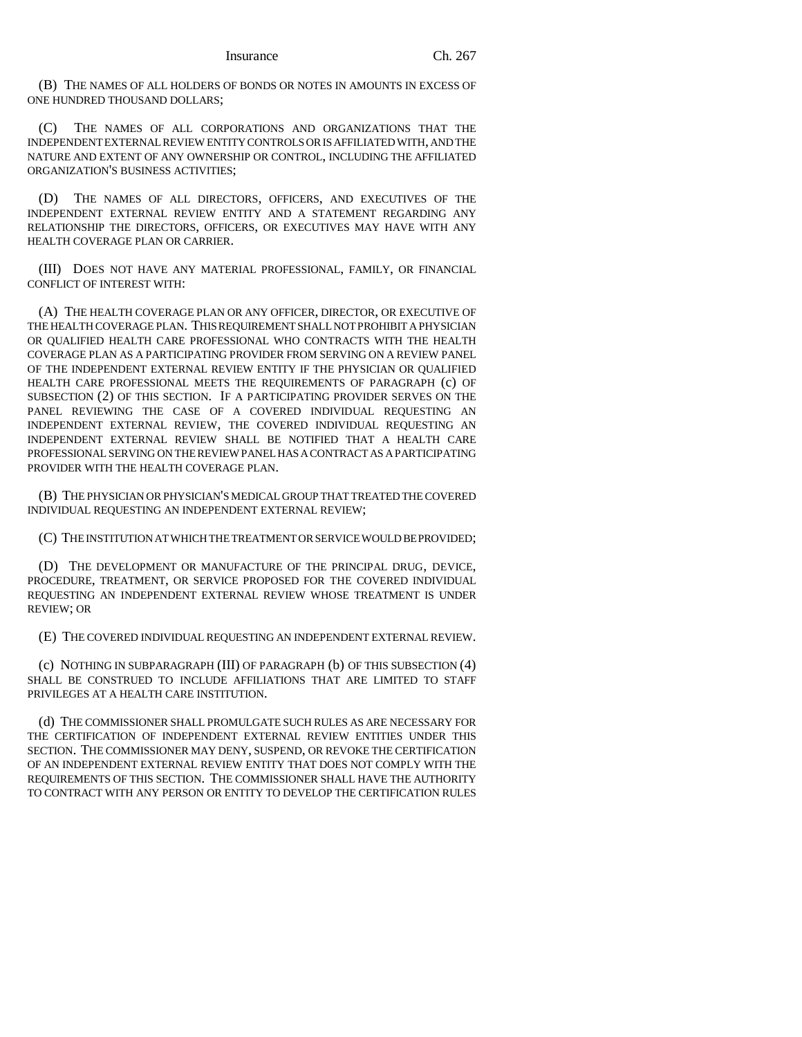(B) THE NAMES OF ALL HOLDERS OF BONDS OR NOTES IN AMOUNTS IN EXCESS OF ONE HUNDRED THOUSAND DOLLARS;

(C) THE NAMES OF ALL CORPORATIONS AND ORGANIZATIONS THAT THE INDEPENDENT EXTERNAL REVIEW ENTITY CONTROLS OR IS AFFILIATED WITH, AND THE NATURE AND EXTENT OF ANY OWNERSHIP OR CONTROL, INCLUDING THE AFFILIATED ORGANIZATION'S BUSINESS ACTIVITIES;

(D) THE NAMES OF ALL DIRECTORS, OFFICERS, AND EXECUTIVES OF THE INDEPENDENT EXTERNAL REVIEW ENTITY AND A STATEMENT REGARDING ANY RELATIONSHIP THE DIRECTORS, OFFICERS, OR EXECUTIVES MAY HAVE WITH ANY HEALTH COVERAGE PLAN OR CARRIER.

(III) DOES NOT HAVE ANY MATERIAL PROFESSIONAL, FAMILY, OR FINANCIAL CONFLICT OF INTEREST WITH:

(A) THE HEALTH COVERAGE PLAN OR ANY OFFICER, DIRECTOR, OR EXECUTIVE OF THE HEALTH COVERAGE PLAN. THIS REQUIREMENT SHALL NOT PROHIBIT A PHYSICIAN OR QUALIFIED HEALTH CARE PROFESSIONAL WHO CONTRACTS WITH THE HEALTH COVERAGE PLAN AS A PARTICIPATING PROVIDER FROM SERVING ON A REVIEW PANEL OF THE INDEPENDENT EXTERNAL REVIEW ENTITY IF THE PHYSICIAN OR QUALIFIED HEALTH CARE PROFESSIONAL MEETS THE REQUIREMENTS OF PARAGRAPH (c) OF SUBSECTION (2) OF THIS SECTION. IF A PARTICIPATING PROVIDER SERVES ON THE PANEL REVIEWING THE CASE OF A COVERED INDIVIDUAL REQUESTING AN INDEPENDENT EXTERNAL REVIEW, THE COVERED INDIVIDUAL REQUESTING AN INDEPENDENT EXTERNAL REVIEW SHALL BE NOTIFIED THAT A HEALTH CARE PROFESSIONAL SERVING ON THE REVIEW PANEL HAS A CONTRACT AS A PARTICIPATING PROVIDER WITH THE HEALTH COVERAGE PLAN.

(B) THE PHYSICIAN OR PHYSICIAN'S MEDICAL GROUP THAT TREATED THE COVERED INDIVIDUAL REQUESTING AN INDEPENDENT EXTERNAL REVIEW;

(C) THE INSTITUTION AT WHICH THE TREATMENT OR SERVICE WOULD BE PROVIDED;

(D) THE DEVELOPMENT OR MANUFACTURE OF THE PRINCIPAL DRUG, DEVICE, PROCEDURE, TREATMENT, OR SERVICE PROPOSED FOR THE COVERED INDIVIDUAL REQUESTING AN INDEPENDENT EXTERNAL REVIEW WHOSE TREATMENT IS UNDER REVIEW; OR

(E) THE COVERED INDIVIDUAL REQUESTING AN INDEPENDENT EXTERNAL REVIEW.

(c) NOTHING IN SUBPARAGRAPH (III) OF PARAGRAPH (b) OF THIS SUBSECTION (4) SHALL BE CONSTRUED TO INCLUDE AFFILIATIONS THAT ARE LIMITED TO STAFF PRIVILEGES AT A HEALTH CARE INSTITUTION.

(d) THE COMMISSIONER SHALL PROMULGATE SUCH RULES AS ARE NECESSARY FOR THE CERTIFICATION OF INDEPENDENT EXTERNAL REVIEW ENTITIES UNDER THIS SECTION. THE COMMISSIONER MAY DENY, SUSPEND, OR REVOKE THE CERTIFICATION OF AN INDEPENDENT EXTERNAL REVIEW ENTITY THAT DOES NOT COMPLY WITH THE REQUIREMENTS OF THIS SECTION. THE COMMISSIONER SHALL HAVE THE AUTHORITY TO CONTRACT WITH ANY PERSON OR ENTITY TO DEVELOP THE CERTIFICATION RULES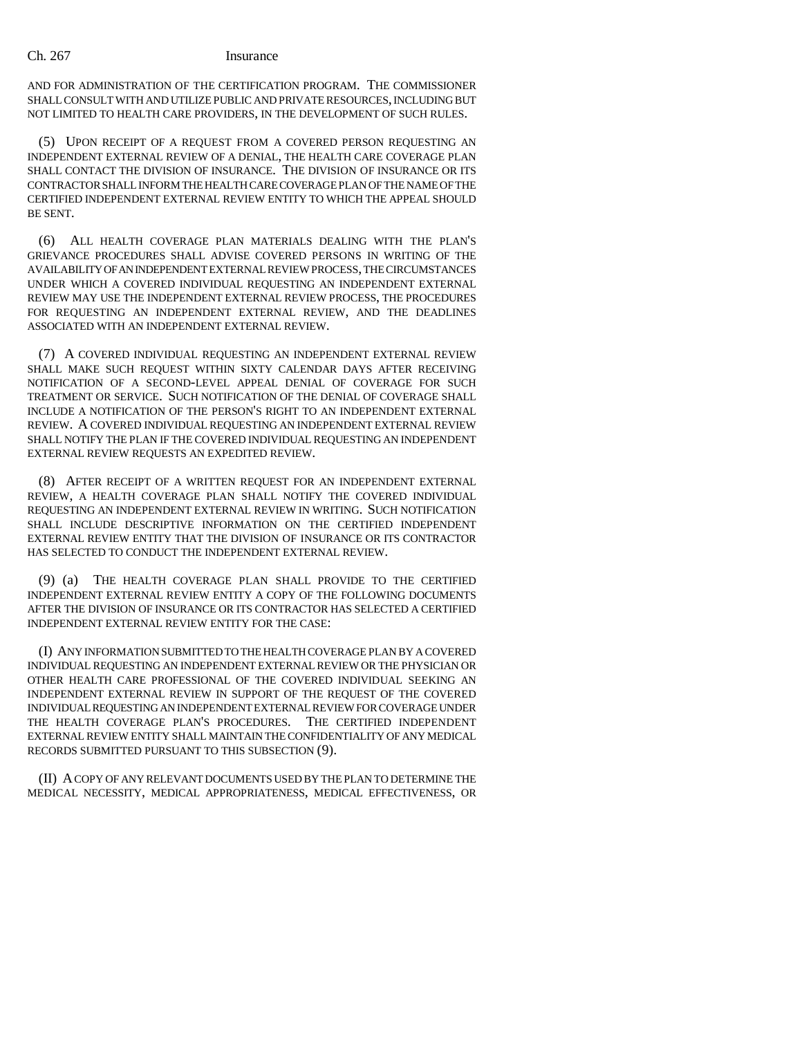### Ch. 267 Insurance

AND FOR ADMINISTRATION OF THE CERTIFICATION PROGRAM. THE COMMISSIONER SHALL CONSULT WITH AND UTILIZE PUBLIC AND PRIVATE RESOURCES, INCLUDING BUT NOT LIMITED TO HEALTH CARE PROVIDERS, IN THE DEVELOPMENT OF SUCH RULES.

(5) UPON RECEIPT OF A REQUEST FROM A COVERED PERSON REQUESTING AN INDEPENDENT EXTERNAL REVIEW OF A DENIAL, THE HEALTH CARE COVERAGE PLAN SHALL CONTACT THE DIVISION OF INSURANCE. THE DIVISION OF INSURANCE OR ITS CONTRACTOR SHALL INFORM THE HEALTH CARE COVERAGE PLAN OF THE NAME OF THE CERTIFIED INDEPENDENT EXTERNAL REVIEW ENTITY TO WHICH THE APPEAL SHOULD BE SENT.

(6) ALL HEALTH COVERAGE PLAN MATERIALS DEALING WITH THE PLAN'S GRIEVANCE PROCEDURES SHALL ADVISE COVERED PERSONS IN WRITING OF THE AVAILABILITY OF AN INDEPENDENT EXTERNAL REVIEW PROCESS, THE CIRCUMSTANCES UNDER WHICH A COVERED INDIVIDUAL REQUESTING AN INDEPENDENT EXTERNAL REVIEW MAY USE THE INDEPENDENT EXTERNAL REVIEW PROCESS, THE PROCEDURES FOR REQUESTING AN INDEPENDENT EXTERNAL REVIEW, AND THE DEADLINES ASSOCIATED WITH AN INDEPENDENT EXTERNAL REVIEW.

(7) A COVERED INDIVIDUAL REQUESTING AN INDEPENDENT EXTERNAL REVIEW SHALL MAKE SUCH REQUEST WITHIN SIXTY CALENDAR DAYS AFTER RECEIVING NOTIFICATION OF A SECOND-LEVEL APPEAL DENIAL OF COVERAGE FOR SUCH TREATMENT OR SERVICE. SUCH NOTIFICATION OF THE DENIAL OF COVERAGE SHALL INCLUDE A NOTIFICATION OF THE PERSON'S RIGHT TO AN INDEPENDENT EXTERNAL REVIEW. A COVERED INDIVIDUAL REQUESTING AN INDEPENDENT EXTERNAL REVIEW SHALL NOTIFY THE PLAN IF THE COVERED INDIVIDUAL REQUESTING AN INDEPENDENT EXTERNAL REVIEW REQUESTS AN EXPEDITED REVIEW.

(8) AFTER RECEIPT OF A WRITTEN REQUEST FOR AN INDEPENDENT EXTERNAL REVIEW, A HEALTH COVERAGE PLAN SHALL NOTIFY THE COVERED INDIVIDUAL REQUESTING AN INDEPENDENT EXTERNAL REVIEW IN WRITING. SUCH NOTIFICATION SHALL INCLUDE DESCRIPTIVE INFORMATION ON THE CERTIFIED INDEPENDENT EXTERNAL REVIEW ENTITY THAT THE DIVISION OF INSURANCE OR ITS CONTRACTOR HAS SELECTED TO CONDUCT THE INDEPENDENT EXTERNAL REVIEW.

(9) (a) THE HEALTH COVERAGE PLAN SHALL PROVIDE TO THE CERTIFIED INDEPENDENT EXTERNAL REVIEW ENTITY A COPY OF THE FOLLOWING DOCUMENTS AFTER THE DIVISION OF INSURANCE OR ITS CONTRACTOR HAS SELECTED A CERTIFIED INDEPENDENT EXTERNAL REVIEW ENTITY FOR THE CASE:

(I) ANY INFORMATION SUBMITTED TO THE HEALTH COVERAGE PLAN BY A COVERED INDIVIDUAL REQUESTING AN INDEPENDENT EXTERNAL REVIEW OR THE PHYSICIAN OR OTHER HEALTH CARE PROFESSIONAL OF THE COVERED INDIVIDUAL SEEKING AN INDEPENDENT EXTERNAL REVIEW IN SUPPORT OF THE REQUEST OF THE COVERED INDIVIDUAL REQUESTING AN INDEPENDENT EXTERNAL REVIEW FOR COVERAGE UNDER THE HEALTH COVERAGE PLAN'S PROCEDURES. THE CERTIFIED INDEPENDENT EXTERNAL REVIEW ENTITY SHALL MAINTAIN THE CONFIDENTIALITY OF ANY MEDICAL RECORDS SUBMITTED PURSUANT TO THIS SUBSECTION (9).

(II) A COPY OF ANY RELEVANT DOCUMENTS USED BY THE PLAN TO DETERMINE THE MEDICAL NECESSITY, MEDICAL APPROPRIATENESS, MEDICAL EFFECTIVENESS, OR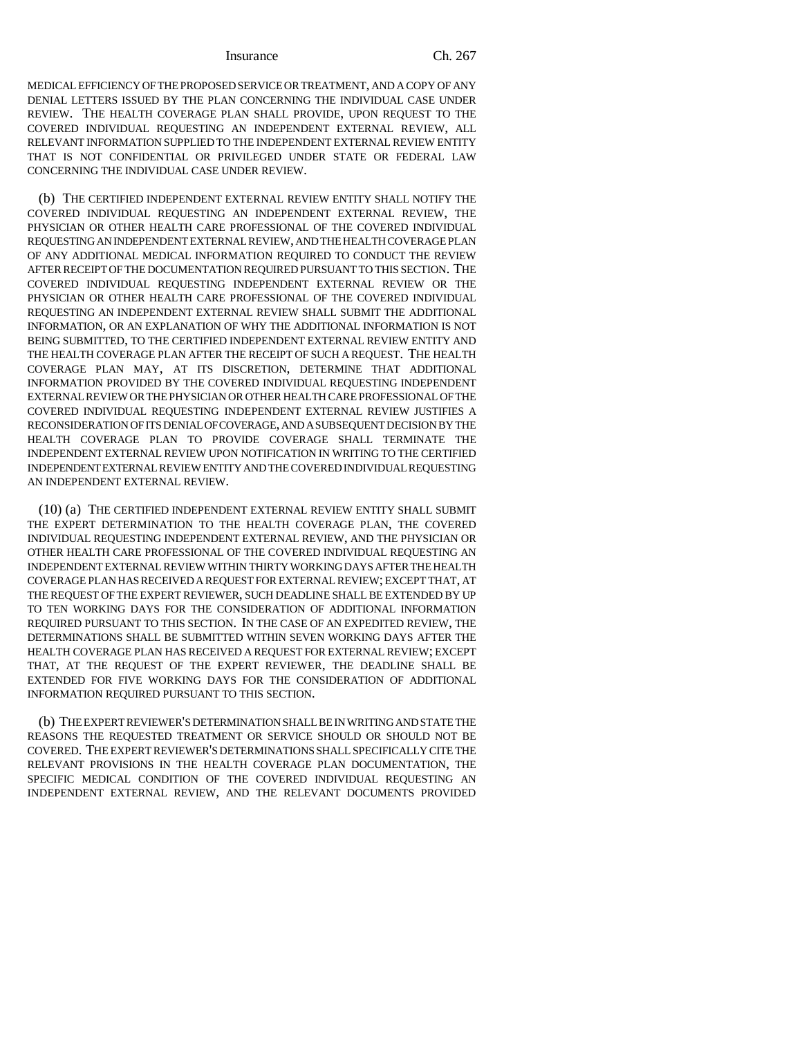Insurance Ch. 267

MEDICAL EFFICIENCY OF THE PROPOSED SERVICE OR TREATMENT, AND A COPY OF ANY DENIAL LETTERS ISSUED BY THE PLAN CONCERNING THE INDIVIDUAL CASE UNDER REVIEW. THE HEALTH COVERAGE PLAN SHALL PROVIDE, UPON REQUEST TO THE COVERED INDIVIDUAL REQUESTING AN INDEPENDENT EXTERNAL REVIEW, ALL RELEVANT INFORMATION SUPPLIED TO THE INDEPENDENT EXTERNAL REVIEW ENTITY THAT IS NOT CONFIDENTIAL OR PRIVILEGED UNDER STATE OR FEDERAL LAW CONCERNING THE INDIVIDUAL CASE UNDER REVIEW.

(b) THE CERTIFIED INDEPENDENT EXTERNAL REVIEW ENTITY SHALL NOTIFY THE COVERED INDIVIDUAL REQUESTING AN INDEPENDENT EXTERNAL REVIEW, THE PHYSICIAN OR OTHER HEALTH CARE PROFESSIONAL OF THE COVERED INDIVIDUAL REQUESTING AN INDEPENDENT EXTERNAL REVIEW, AND THE HEALTH COVERAGE PLAN OF ANY ADDITIONAL MEDICAL INFORMATION REQUIRED TO CONDUCT THE REVIEW AFTER RECEIPT OF THE DOCUMENTATION REQUIRED PURSUANT TO THIS SECTION. THE COVERED INDIVIDUAL REQUESTING INDEPENDENT EXTERNAL REVIEW OR THE PHYSICIAN OR OTHER HEALTH CARE PROFESSIONAL OF THE COVERED INDIVIDUAL REQUESTING AN INDEPENDENT EXTERNAL REVIEW SHALL SUBMIT THE ADDITIONAL INFORMATION, OR AN EXPLANATION OF WHY THE ADDITIONAL INFORMATION IS NOT BEING SUBMITTED, TO THE CERTIFIED INDEPENDENT EXTERNAL REVIEW ENTITY AND THE HEALTH COVERAGE PLAN AFTER THE RECEIPT OF SUCH A REQUEST. THE HEALTH COVERAGE PLAN MAY, AT ITS DISCRETION, DETERMINE THAT ADDITIONAL INFORMATION PROVIDED BY THE COVERED INDIVIDUAL REQUESTING INDEPENDENT EXTERNAL REVIEW OR THE PHYSICIAN OR OTHER HEALTH CARE PROFESSIONAL OF THE COVERED INDIVIDUAL REQUESTING INDEPENDENT EXTERNAL REVIEW JUSTIFIES A RECONSIDERATION OF ITS DENIAL OF COVERAGE, AND A SUBSEQUENT DECISION BY THE HEALTH COVERAGE PLAN TO PROVIDE COVERAGE SHALL TERMINATE THE INDEPENDENT EXTERNAL REVIEW UPON NOTIFICATION IN WRITING TO THE CERTIFIED INDEPENDENT EXTERNAL REVIEW ENTITY AND THE COVERED INDIVIDUAL REQUESTING AN INDEPENDENT EXTERNAL REVIEW.

(10) (a) THE CERTIFIED INDEPENDENT EXTERNAL REVIEW ENTITY SHALL SUBMIT THE EXPERT DETERMINATION TO THE HEALTH COVERAGE PLAN, THE COVERED INDIVIDUAL REQUESTING INDEPENDENT EXTERNAL REVIEW, AND THE PHYSICIAN OR OTHER HEALTH CARE PROFESSIONAL OF THE COVERED INDIVIDUAL REQUESTING AN INDEPENDENT EXTERNAL REVIEW WITHIN THIRTY WORKING DAYS AFTER THE HEALTH COVERAGE PLAN HAS RECEIVED A REQUEST FOR EXTERNAL REVIEW; EXCEPT THAT, AT THE REQUEST OF THE EXPERT REVIEWER, SUCH DEADLINE SHALL BE EXTENDED BY UP TO TEN WORKING DAYS FOR THE CONSIDERATION OF ADDITIONAL INFORMATION REQUIRED PURSUANT TO THIS SECTION. IN THE CASE OF AN EXPEDITED REVIEW, THE DETERMINATIONS SHALL BE SUBMITTED WITHIN SEVEN WORKING DAYS AFTER THE HEALTH COVERAGE PLAN HAS RECEIVED A REQUEST FOR EXTERNAL REVIEW; EXCEPT THAT, AT THE REQUEST OF THE EXPERT REVIEWER, THE DEADLINE SHALL BE EXTENDED FOR FIVE WORKING DAYS FOR THE CONSIDERATION OF ADDITIONAL INFORMATION REQUIRED PURSUANT TO THIS SECTION.

(b) THE EXPERT REVIEWER'S DETERMINATION SHALL BE IN WRITING AND STATE THE REASONS THE REQUESTED TREATMENT OR SERVICE SHOULD OR SHOULD NOT BE COVERED. THE EXPERT REVIEWER'S DETERMINATIONS SHALL SPECIFICALLY CITE THE RELEVANT PROVISIONS IN THE HEALTH COVERAGE PLAN DOCUMENTATION, THE SPECIFIC MEDICAL CONDITION OF THE COVERED INDIVIDUAL REQUESTING AN INDEPENDENT EXTERNAL REVIEW, AND THE RELEVANT DOCUMENTS PROVIDED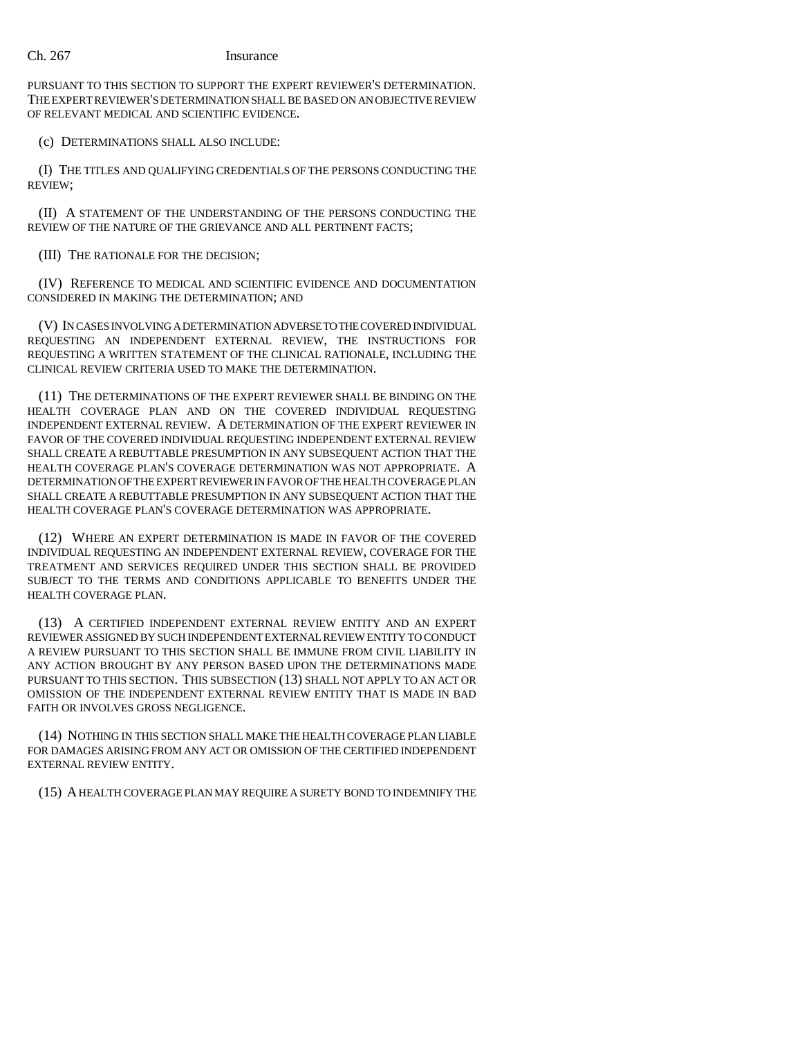PURSUANT TO THIS SECTION TO SUPPORT THE EXPERT REVIEWER'S DETERMINATION. THE EXPERT REVIEWER'S DETERMINATION SHALL BE BASED ON AN OBJECTIVE REVIEW OF RELEVANT MEDICAL AND SCIENTIFIC EVIDENCE.

(c) DETERMINATIONS SHALL ALSO INCLUDE:

(I) THE TITLES AND QUALIFYING CREDENTIALS OF THE PERSONS CONDUCTING THE REVIEW;

(II) A STATEMENT OF THE UNDERSTANDING OF THE PERSONS CONDUCTING THE REVIEW OF THE NATURE OF THE GRIEVANCE AND ALL PERTINENT FACTS;

(III) THE RATIONALE FOR THE DECISION;

(IV) REFERENCE TO MEDICAL AND SCIENTIFIC EVIDENCE AND DOCUMENTATION CONSIDERED IN MAKING THE DETERMINATION; AND

(V) IN CASES INVOLVING A DETERMINATION ADVERSE TO THE COVERED INDIVIDUAL REQUESTING AN INDEPENDENT EXTERNAL REVIEW, THE INSTRUCTIONS FOR REQUESTING A WRITTEN STATEMENT OF THE CLINICAL RATIONALE, INCLUDING THE CLINICAL REVIEW CRITERIA USED TO MAKE THE DETERMINATION.

(11) THE DETERMINATIONS OF THE EXPERT REVIEWER SHALL BE BINDING ON THE HEALTH COVERAGE PLAN AND ON THE COVERED INDIVIDUAL REQUESTING INDEPENDENT EXTERNAL REVIEW. A DETERMINATION OF THE EXPERT REVIEWER IN FAVOR OF THE COVERED INDIVIDUAL REQUESTING INDEPENDENT EXTERNAL REVIEW SHALL CREATE A REBUTTABLE PRESUMPTION IN ANY SUBSEQUENT ACTION THAT THE HEALTH COVERAGE PLAN'S COVERAGE DETERMINATION WAS NOT APPROPRIATE. A DETERMINATION OF THE EXPERT REVIEWER IN FAVOR OF THE HEALTH COVERAGE PLAN SHALL CREATE A REBUTTABLE PRESUMPTION IN ANY SUBSEQUENT ACTION THAT THE HEALTH COVERAGE PLAN'S COVERAGE DETERMINATION WAS APPROPRIATE.

(12) WHERE AN EXPERT DETERMINATION IS MADE IN FAVOR OF THE COVERED INDIVIDUAL REQUESTING AN INDEPENDENT EXTERNAL REVIEW, COVERAGE FOR THE TREATMENT AND SERVICES REQUIRED UNDER THIS SECTION SHALL BE PROVIDED SUBJECT TO THE TERMS AND CONDITIONS APPLICABLE TO BENEFITS UNDER THE HEALTH COVERAGE PLAN.

(13) A CERTIFIED INDEPENDENT EXTERNAL REVIEW ENTITY AND AN EXPERT REVIEWER ASSIGNED BY SUCH INDEPENDENT EXTERNAL REVIEW ENTITY TO CONDUCT A REVIEW PURSUANT TO THIS SECTION SHALL BE IMMUNE FROM CIVIL LIABILITY IN ANY ACTION BROUGHT BY ANY PERSON BASED UPON THE DETERMINATIONS MADE PURSUANT TO THIS SECTION. THIS SUBSECTION (13) SHALL NOT APPLY TO AN ACT OR OMISSION OF THE INDEPENDENT EXTERNAL REVIEW ENTITY THAT IS MADE IN BAD FAITH OR INVOLVES GROSS NEGLIGENCE.

(14) NOTHING IN THIS SECTION SHALL MAKE THE HEALTH COVERAGE PLAN LIABLE FOR DAMAGES ARISING FROM ANY ACT OR OMISSION OF THE CERTIFIED INDEPENDENT EXTERNAL REVIEW ENTITY.

(15) A HEALTH COVERAGE PLAN MAY REQUIRE A SURETY BOND TO INDEMNIFY THE